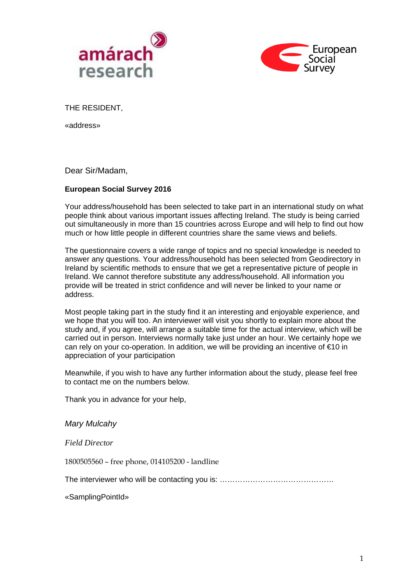



THE RESIDENT,

«address»

Dear Sir/Madam,

### **European Social Survey 2016**

Your address/household has been selected to take part in an international study on what people think about various important issues affecting Ireland. The study is being carried out simultaneously in more than 15 countries across Europe and will help to find out how much or how little people in different countries share the same views and beliefs.

The questionnaire covers a wide range of topics and no special knowledge is needed to answer any questions. Your address/household has been selected from Geodirectory in Ireland by scientific methods to ensure that we get a representative picture of people in Ireland. We cannot therefore substitute any address/household. All information you provide will be treated in strict confidence and will never be linked to your name or address.

Most people taking part in the study find it an interesting and enjoyable experience, and we hope that you will too. An interviewer will visit you shortly to explain more about the study and, if you agree, will arrange a suitable time for the actual interview, which will be carried out in person. Interviews normally take just under an hour. We certainly hope we can rely on your co-operation. In addition, we will be providing an incentive of €10 in appreciation of your participation

Meanwhile, if you wish to have any further information about the study, please feel free to contact me on the numbers below.

Thank you in advance for your help,

*Mary Mulcahy* 

*Field Director*

1800505560 – free phone, 014105200 - landline

The interviewer who will be contacting you is: ………………………………………………………………………………………

«SamplingPointId»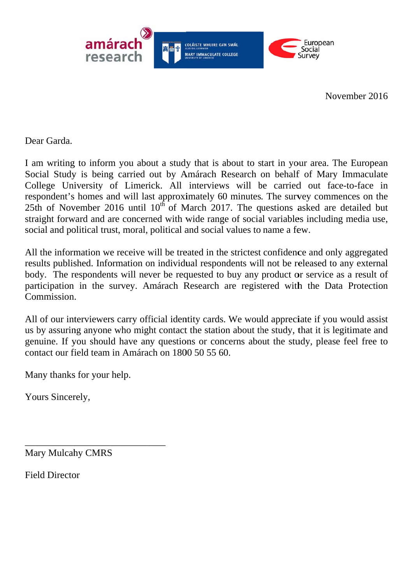

November 2016

Dear Garda.

I am writing to inform you about a study that is about to start in your area. The European Social Study is being carried out by Amárach Research on behalf of Mary Immaculate College University of Limerick. All interviews will be carried out face-to-face in respondent's homes and will last approximately 60 minutes. The survey commences on the 25th of November 2016 until  $10^{th}$  of March 2017. The questions asked are detailed but straight forward and are concerned with wide range of social variables including media use, social and political trust, moral, political and social values to name a few.

All the information we receive will be treated in the strictest confidence and only aggregated results published. Information on individual respondents will not be released to any external body. The respondents will never be requested to buy any product or service as a result of participation in the survey. Amárach Research are registered with the Data Protection Commission.

All of our interviewers carry official identity cards. We would appreciate if you would assist us by assuring anyone who might contact the station about the study, that it is legitimate and genuine. If you should have any questions or concerns about the study, please feel free to contact our field team in Amárach on 1800 50 55 60.

Many thanks for your help.

Yours Sincerely,

**Mary Mulcahy CMRS** 

**Field Director**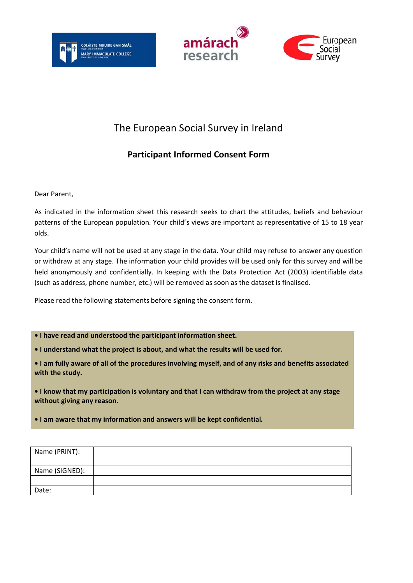





## The European Social Survey in Ireland

### **Participant Informed Consent Form**

Dear Parent.

As indicated in the information sheet this research seeks to chart the attitudes, beliefs and behaviour patterns of the European population. Your child's views are important as representative of 15 to 18 year olds.

Your child's name will not be used at any stage in the data. Your child may refuse to answer any question or withdraw at any stage. The information your child provides will be used only for this survey and will be held anonymously and confidentially. In keeping with the Data Protection Act (2003) identifiable data (such as address, phone number, etc.) will be removed as soon as the dataset is finalised.

Please read the following statements before signing the consent form.

. I have read and understood the participant information sheet.

. I understand what the project is about, and what the results will be used for.

. I am fully aware of all of the procedures involving myself, and of any risks and benefits associated with the study.

I know that my participation is voluntary and that I can withdraw from the project at any stage without giving any reason.

. I am aware that my information and answers will be kept confidential.

| Name (PRINT):  |  |
|----------------|--|
|                |  |
| Name (SIGNED): |  |
|                |  |
| Date:          |  |
|                |  |